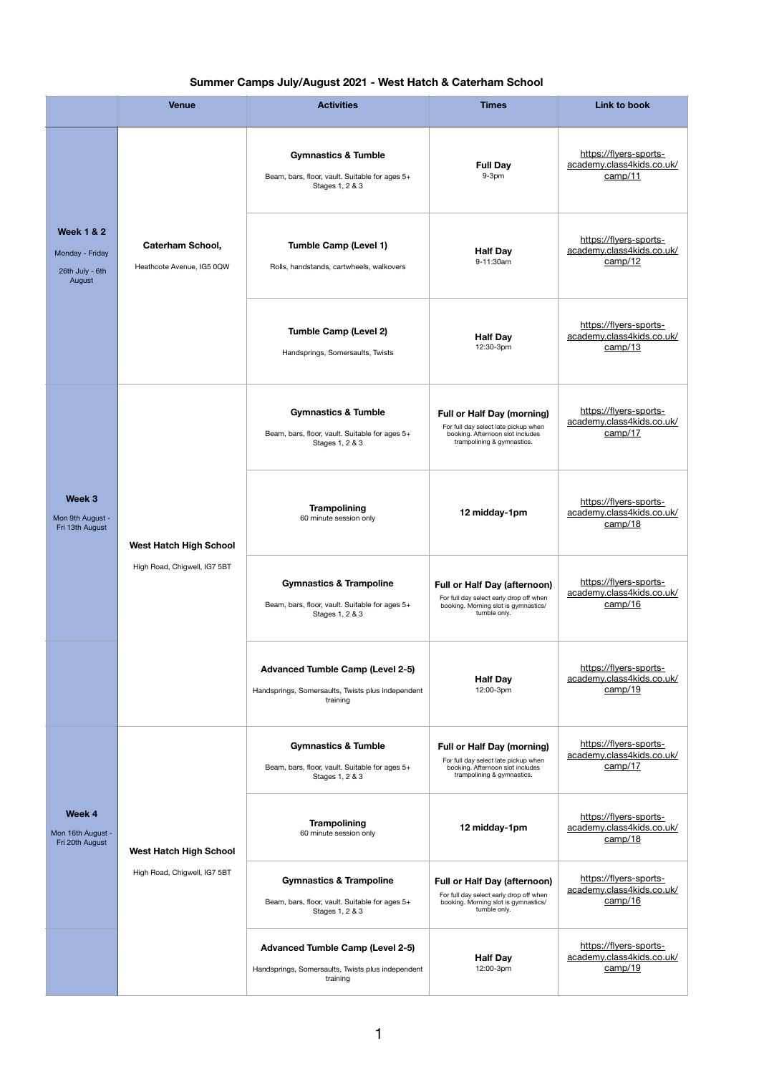## **Summer Camps July/August 2021 - West Hatch & Caterham School**

|                                                                       | <b>Venue</b>                                                  | <b>Activities</b>                                                                                        | <b>Times</b>                                                                                                                                | <b>Link to book</b>                                            |
|-----------------------------------------------------------------------|---------------------------------------------------------------|----------------------------------------------------------------------------------------------------------|---------------------------------------------------------------------------------------------------------------------------------------------|----------------------------------------------------------------|
| <b>Week 1 &amp; 2</b><br>Monday - Friday<br>26th July - 6th<br>August | <b>Caterham School,</b><br>Heathcote Avenue, IG5 0QW          | <b>Gymnastics &amp; Tumble</b><br>Beam, bars, floor, vault. Suitable for ages 5+<br>Stages 1, 2 & 3      | <b>Full Day</b><br>$9-3pm$                                                                                                                  | https://flyers-sports-<br>academy.class4kids.co.uk/<br>camp/11 |
|                                                                       |                                                               | <b>Tumble Camp (Level 1)</b><br>Rolls, handstands, cartwheels, walkovers                                 | <b>Half Day</b><br>9-11:30am                                                                                                                | https://flyers-sports-<br>academy.class4kids.co.uk/<br>camp/12 |
|                                                                       |                                                               | <b>Tumble Camp (Level 2)</b><br>Handsprings, Somersaults, Twists                                         | <b>Half Day</b><br>12:30-3pm                                                                                                                | https://flyers-sports-<br>academy.class4kids.co.uk/<br>camp/13 |
| Week 3<br>Mon 9th August -<br>Fri 13th August                         | <b>West Hatch High School</b><br>High Road, Chigwell, IG7 5BT | <b>Gymnastics &amp; Tumble</b><br>Beam, bars, floor, vault. Suitable for ages 5+<br>Stages 1, 2 & 3      | <b>Full or Half Day (morning)</b><br>For full day select late pickup when<br>booking. Afternoon slot includes<br>trampolining & gymnastics. | https://flyers-sports-<br>academy.class4kids.co.uk/<br>camp/17 |
|                                                                       |                                                               | <b>Trampolining</b><br>60 minute session only                                                            | 12 midday-1pm                                                                                                                               | https://flyers-sports-<br>academy.class4kids.co.uk/<br>camp/18 |
|                                                                       |                                                               | <b>Gymnastics &amp; Trampoline</b><br>Beam, bars, floor, vault. Suitable for ages 5+<br>Stages 1, 2 & 3  | <b>Full or Half Day (afternoon)</b><br>For full day select early drop off when<br>booking. Morning slot is gymnastics/<br>tumble only.      | https://flyers-sports-<br>academy.class4kids.co.uk/<br>camp/16 |
|                                                                       |                                                               | <b>Advanced Tumble Camp (Level 2-5)</b><br>Handsprings, Somersaults, Twists plus independent<br>training | <b>Half Day</b><br>12:00-3pm                                                                                                                | https://flyers-sports-<br>academy.class4kids.co.uk/<br>camp/19 |
| Week 4<br>Mon 16th August -<br>Fri 20th August                        | <b>West Hatch High School</b><br>High Road, Chigwell, IG7 5BT | <b>Gymnastics &amp; Tumble</b><br>Beam, bars, floor, vault. Suitable for ages 5+<br>Stages 1, 2 & 3      | <b>Full or Half Day (morning)</b><br>For full day select late pickup when<br>booking. Afternoon slot includes<br>trampolining & gymnastics. | https://flyers-sports-<br>academy.class4kids.co.uk/<br>camp/17 |
|                                                                       |                                                               | <b>Trampolining</b><br>60 minute session only                                                            | 12 midday-1pm                                                                                                                               | https://flyers-sports-<br>academy.class4kids.co.uk/<br>camp/18 |
|                                                                       |                                                               | <b>Gymnastics &amp; Trampoline</b><br>Beam, bars, floor, vault. Suitable for ages 5+<br>Stages 1, 2 & 3  | <b>Full or Half Day (afternoon)</b><br>For full day select early drop off when<br>booking. Morning slot is gymnastics/<br>tumble only.      | https://flyers-sports-<br>academy.class4kids.co.uk/<br>camp/16 |
|                                                                       |                                                               | <b>Advanced Tumble Camp (Level 2-5)</b><br>Handsprings, Somersaults, Twists plus independent<br>training | <b>Half Day</b><br>12:00-3pm                                                                                                                | https://flyers-sports-<br>academy.class4kids.co.uk/<br>camp/19 |

1